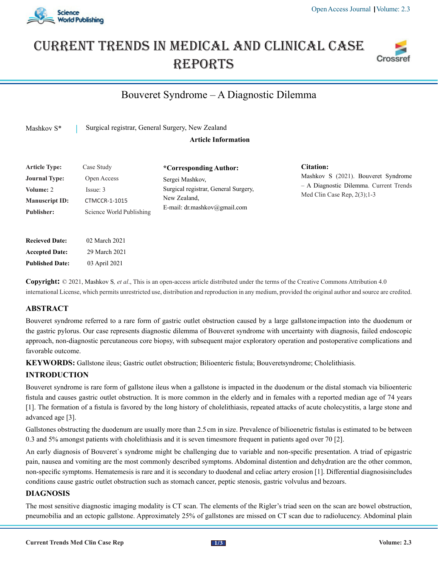

# Current trends in medical and Clinical case **REPORTS**



# Bouveret Syndrome – A Diagnostic Dilemma

Mashkov S<sup>\*</sup> Surgical registrar, General Surgery, New Zealand

#### **Article Information**

| <b>Article Type:</b>  | Case Study               | *Corresponding Author:                                       |
|-----------------------|--------------------------|--------------------------------------------------------------|
| <b>Journal Type:</b>  | Open Access              | Sergei Mashkov,                                              |
| <b>Volume: 2</b>      | Issue: 3                 | Surgical registrar, General Surgery,                         |
| <b>Manuscript ID:</b> | <b>CTMCCR-1-1015</b>     | New Zealand.<br>E-mail: $dr$ mashkov ( $\partial g$ mail.com |
| <b>Publisher:</b>     | Science World Publishing |                                                              |

**Citation:**  Mashkov S (2021). Bouveret Syndrome – A Diagnostic Dilemma. Current Trends Med Clin Case Rep, 2(3);1-3

**Accepted Date:** 29 March 2021 **Published Date:** 03 April 2021

**Recieved Date:** 02 March 2021

**Copyright:** © 2021, Mashkov S*, et al*., This is an open-access article distributed under the terms of the Creative Commons Attribution 4.0 international License, which permits unrestricted use, distribution and reproduction in any medium, provided the original author and source are credited.

### **ABSTRACT**

Bouveret syndrome referred to a rare form of gastric outlet obstruction caused by a large gallstone impaction into the duodenum or the gastric pylorus. Our case represents diagnostic dilemma of Bouveret syndrome with uncertainty with diagnosis, failed endoscopic approach, non-diagnostic percutaneous core biopsy, with subsequent major exploratory operation and postoperative complications and favorable outcome.

KEYWORDS: Gallstone ileus; Gastric outlet obstruction; Bilioenteric fistula; Bouveretsyndrome; Cholelithiasis.

## **INTRODUCTION**

Bouveret syndrome is rare form of gallstone ileus when a gallstone is impacted in the duodenum or the distal stomach via bilioenteric fistula and causes gastric outlet obstruction. It is more common in the elderly and in females with a reported median age of 74 years [1]. The formation of a fistula is favored by the long history of cholelithiasis, repeated attacks of acute cholecystitis, a large stone and advanced age [3].

Gallstones obstructing the duodenum are usually more than 2.5cm in size. Prevalence of bilioenetric fistulas is estimated to be between 0.3 and 5% amongst patients with cholelithiasis and it is seven times more frequent in patients aged over 70 [2].

An early diagnosis of Bouveret`s syndrome might be challenging due to variable and non-specific presentation. A triad of epigastric pain, nausea and vomiting are the most commonly described symptoms. Abdominal distention and dehydration are the other common, non-specific symptoms. Hematemesis is rare and it is secondary to duodenal and celiac artery erosion [1]. Differential diagnosis includes conditions cause gastric outlet obstruction such as stomach cancer, peptic stenosis, gastric volvulus and bezoars.

#### **DIAGNOSIS**

The most sensitive diagnostic imaging modality is CT scan. The elements of the Rigler's triad seen on the scan are bowel obstruction, pneumobilia and an ectopic gallstone. Approximately 25% of gallstones are missed on CT scan due to radiolucency. Abdominal plain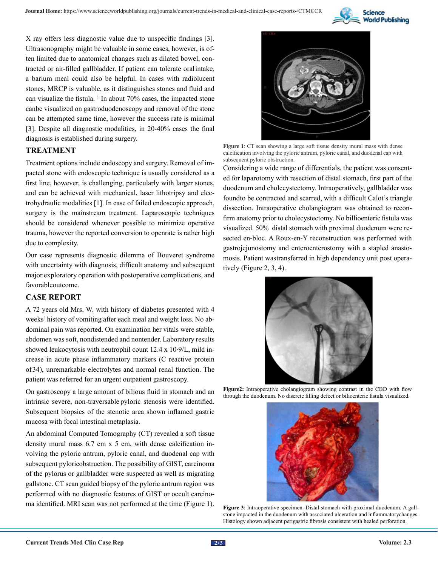

X ray offers less diagnostic value due to unspecific findings [3]. Ultrasonography might be valuable in some cases, however, is often limited due to anatomical changes such as dilated bowel, contracted or air-filled gallbladder. If patient can tolerate oral intake, a barium meal could also be helpful. In cases with radiolucent stones, MRCP is valuable, as it distinguishes stones and fluid and can visualize the fistula.  $\frac{1}{1}$  In about 70% cases, the impacted stone can be visualized on gastroduodenoscopy and removal of the stone can be attempted same time, however the success rate is minimal [3]. Despite all diagnostic modalities, in 20-40% cases the final diagnosis is established during surgery.

#### **TREATMENT**

Treatment options include endoscopy and surgery. Removal of impacted stone with endoscopic technique is usually considered as a first line, however, is challenging, particularly with larger stones, and can be achieved with mechanical, laser lithotripsy and electrohydraulic modalities [1]. In case of failed endoscopic approach, surgery is the mainstream treatment. Laparoscopic techniques should be considered whenever possible to minimize operative trauma, however the reported conversion to open rate is rather high due to complexity.

Our case represents diagnostic dilemma of Bouveret syndrome with uncertainty with diagnosis, difficult anatomy and subsequent major exploratory operation with postoperative complications, and favorable outcome.

#### **CASE REPORT**

A 72 years old Mrs. W. with history of diabetes presented with 4 weeks' history of vomiting after each meal and weight loss. No abdominal pain was reported. On examination her vitals were stable, abdomen was soft, nondistended and nontender. Laboratory results showed leukocytosis with neutrophil count 12.4 x 10∙9/L, mild increase in acute phase inflammatory markers (C reactive protein of 34), unremarkable electrolytes and normal renal function. The patient was referred for an urgent outpatient gastroscopy.

On gastroscopy a large amount of bilious fluid in stomach and an intrinsic severe, non-traversable pyloric stenosis were identified. Subsequent biopsies of the stenotic area shown inflamed gastric mucosa with focal intestinal metaplasia.

An abdominal Computed Tomography (CT) revealed a soft tissue density mural mass 6.7 cm x 5 cm, with dense calcification involving the pyloric antrum, pyloric canal, and duodenal cap with subsequent pyloric obstruction. The possibility of GIST, carcinoma of the pylorus or gallbladder were suspected as well as migrating gallstone. CT scan guided biopsy of the pyloric antrum region was performed with no diagnostic features of GIST or occult carcinoma identified. MRI scan was not performed at the time (Figure 1).



**Figure 1**: CT scan showing a large soft tissue density mural mass with dense calcification involving the pyloric antrum, pyloric canal, and duodenal cap with subsequent pyloric obstruction.

Considering a wide range of differentials, the patient was consented for laparotomy with resection of distal stomach, first part of the duodenum and cholecystectomy. Intraoperatively, gallbladder was found to be contracted and scarred, with a difficult Calot's triangle dissection. Intraoperative cholangiogram was obtained to reconfirm anatomy prior to cholecystectomy. No billioenteric fistula was visualized. 50% distal stomach with proximal duodenum were resected en-bloc. A Roux-en-Y reconstruction was performed with gastrojejunostomy and enteroenterostomy with a stapled anastomosis. Patient was transferred in high dependency unit post operatively (Figure 2, 3, 4).



**Figure2:** Intraoperative cholangiogram showing contrast in the CBD with flow through the duodenum. No discrete filling defect or bilioenteric fistula visualized.



**Figure 3**: Intraoperative specimen. Distal stomach with proximal duodenum. A gallstone impacted in the duodenum with associated ulceration and inflammatory changes. Histology shown adjacent perigastric fibrosis consistent with healed perforation.